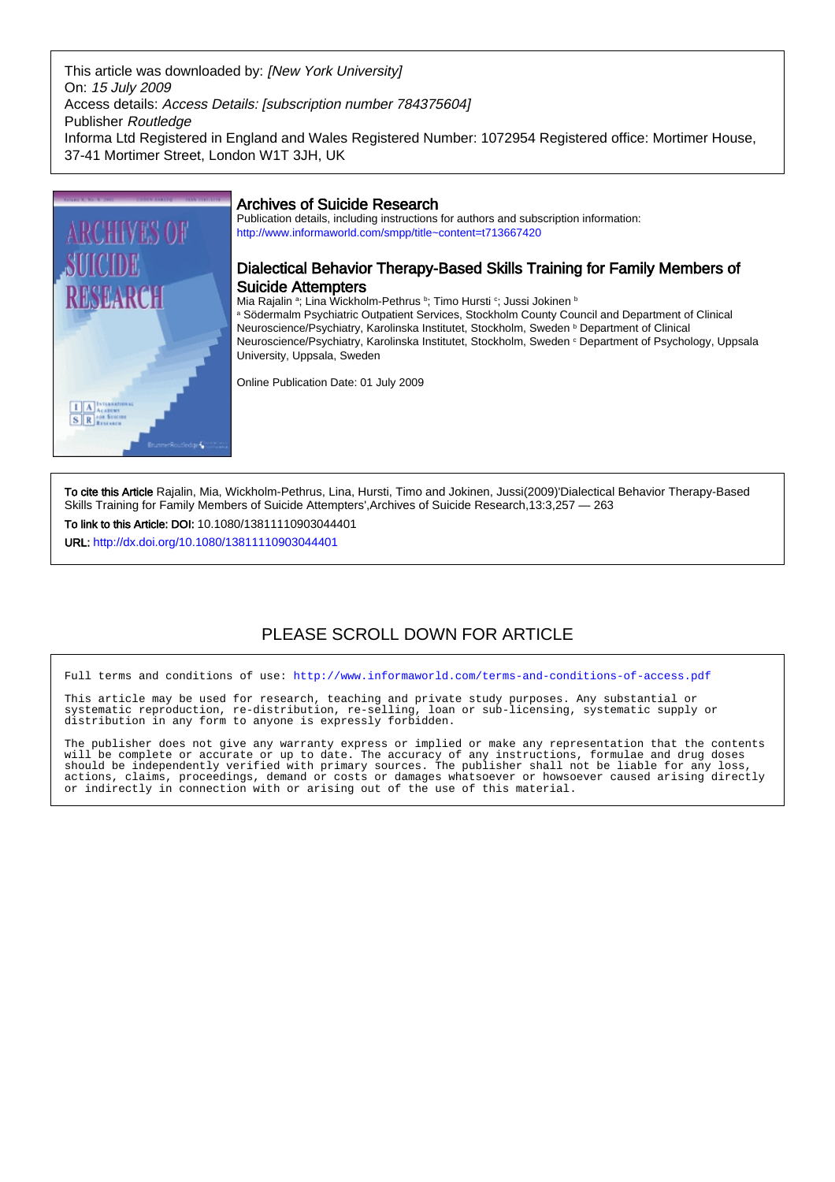This article was downloaded by: [New York University] On: 15 July 2009 Access details: Access Details: [subscription number 784375604] Publisher Routledge Informa Ltd Registered in England and Wales Registered Number: 1072954 Registered office: Mortimer House, 37-41 Mortimer Street, London W1T 3JH, UK



## Archives of Suicide Research

Publication details, including instructions for authors and subscription information: <http://www.informaworld.com/smpp/title~content=t713667420>

## Dialectical Behavior Therapy-Based Skills Training for Family Members of Suicide Attempters

Mia Rajalin ª; Lina Wickholm-Pethrus ʰ; Timo Hursti º; Jussi Jokinen ʰ a Södermalm Psychiatric Outpatient Services, Stockholm County Council and Department of Clinical Neuroscience/Psychiatry, Karolinska Institutet, Stockholm, Sweden <sup>b</sup> Department of Clinical Neuroscience/Psychiatry, Karolinska Institutet, Stockholm, Sweden <sup>c</sup> Department of Psychology, Uppsala University, Uppsala, Sweden

Online Publication Date: 01 July 2009

To cite this Article Rajalin, Mia, Wickholm-Pethrus, Lina, Hursti, Timo and Jokinen, Jussi(2009)'Dialectical Behavior Therapy-Based Skills Training for Family Members of Suicide Attempters',Archives of Suicide Research,13:3,257 — 263

To link to this Article: DOI: 10.1080/13811110903044401

URL: <http://dx.doi.org/10.1080/13811110903044401>

# PLEASE SCROLL DOWN FOR ARTICLE

Full terms and conditions of use:<http://www.informaworld.com/terms-and-conditions-of-access.pdf>

This article may be used for research, teaching and private study purposes. Any substantial or systematic reproduction, re-distribution, re-selling, loan or sub-licensing, systematic supply or distribution in any form to anyone is expressly forbidden.

The publisher does not give any warranty express or implied or make any representation that the contents will be complete or accurate or up to date. The accuracy of any instructions, formulae and drug doses should be independently verified with primary sources. The publisher shall not be liable for any loss, actions, claims, proceedings, demand or costs or damages whatsoever or howsoever caused arising directly or indirectly in connection with or arising out of the use of this material.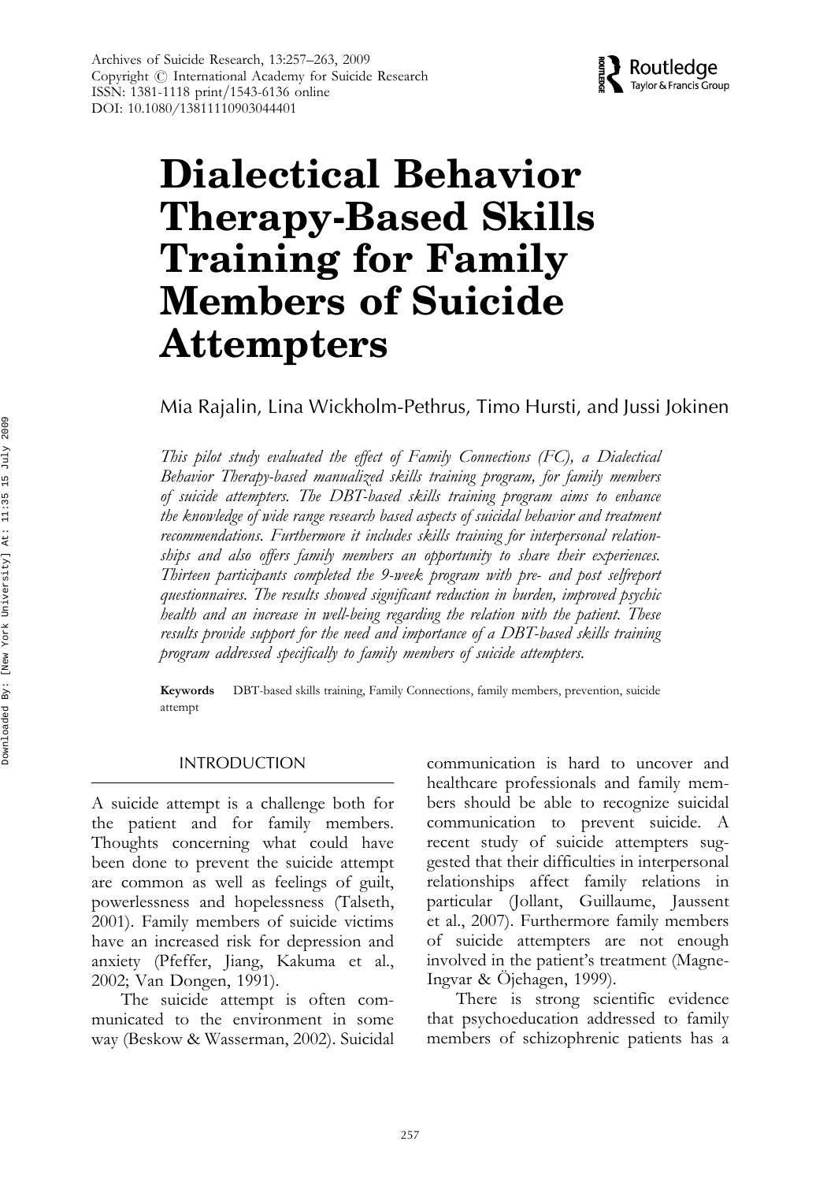

# Dialectical Behavior Therapy-Based Skills Training for Family Members of Suicide Attempters

Mia Rajalin, Lina Wickholm-Pethrus, Timo Hursti, and Jussi Jokinen

This pilot study evaluated the effect of Family Connections (FC), a Dialectical Behavior Therapy-based manualized skills training program, for family members of suicide attempters. The DBT-based skills training program aims to enhance the knowledge of wide range research based aspects of suicidal behavior and treatment recommendations. Furthermore it includes skills training for interpersonal relationships and also offers family members an opportunity to share their experiences. Thirteen participants completed the 9-week program with pre- and post selfreport questionnaires. The results showed significant reduction in burden, improved psychic health and an increase in well-being regarding the relation with the patient. These results provide support for the need and importance of a DBT-based skills training program addressed specifically to family members of suicide attempters.

Keywords DBT-based skills training, Family Connections, family members, prevention, suicide attempt

#### INTRODUCTION

A suicide attempt is a challenge both for the patient and for family members. Thoughts concerning what could have been done to prevent the suicide attempt are common as well as feelings of guilt, powerlessness and hopelessness (Talseth, 2001). Family members of suicide victims have an increased risk for depression and anxiety (Pfeffer, Jiang, Kakuma et al., 2002; Van Dongen, 1991).

The suicide attempt is often communicated to the environment in some way (Beskow & Wasserman, 2002). Suicidal communication is hard to uncover and healthcare professionals and family members should be able to recognize suicidal communication to prevent suicide. A recent study of suicide attempters suggested that their difficulties in interpersonal relationships affect family relations in particular (Jollant, Guillaume, Jaussent et al., 2007). Furthermore family members of suicide attempters are not enough involved in the patient's treatment (Magne-Ingvar & Ojehagen, 1999).

There is strong scientific evidence that psychoeducation addressed to family members of schizophrenic patients has a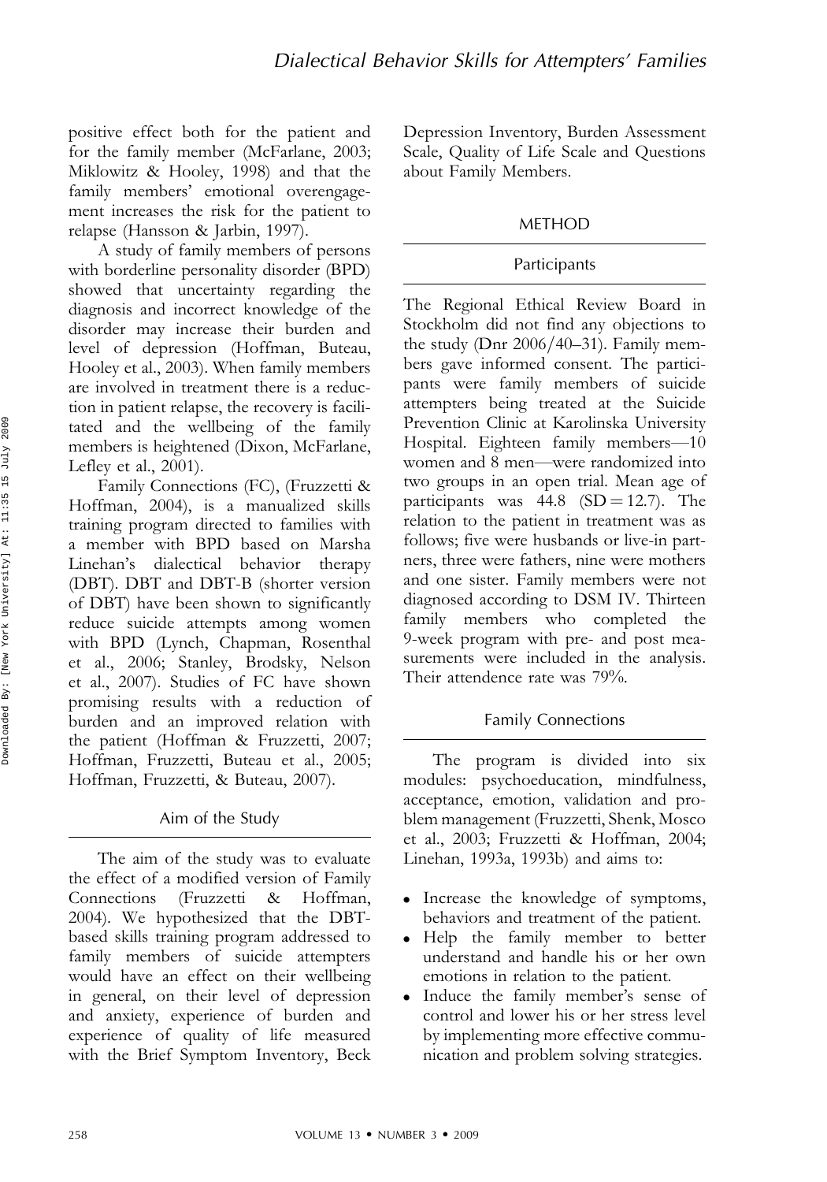positive effect both for the patient and for the family member (McFarlane, 2003; Miklowitz & Hooley, 1998) and that the family members' emotional overengagement increases the risk for the patient to relapse (Hansson & Jarbin, 1997).

A study of family members of persons with borderline personality disorder (BPD) showed that uncertainty regarding the diagnosis and incorrect knowledge of the disorder may increase their burden and level of depression (Hoffman, Buteau, Hooley et al., 2003). When family members are involved in treatment there is a reduction in patient relapse, the recovery is facilitated and the wellbeing of the family members is heightened (Dixon, McFarlane, Lefley et al., 2001).

Family Connections (FC), (Fruzzetti & Hoffman, 2004), is a manualized skills training program directed to families with a member with BPD based on Marsha Linehan's dialectical behavior therapy (DBT). DBT and DBT-B (shorter version of DBT) have been shown to significantly reduce suicide attempts among women with BPD (Lynch, Chapman, Rosenthal et al., 2006; Stanley, Brodsky, Nelson et al., 2007). Studies of FC have shown promising results with a reduction of burden and an improved relation with the patient (Hoffman & Fruzzetti, 2007; Hoffman, Fruzzetti, Buteau et al., 2005; Hoffman, Fruzzetti, & Buteau, 2007).

## Aim of the Study

The aim of the study was to evaluate the effect of a modified version of Family Connections (Fruzzetti & Hoffman, 2004). We hypothesized that the DBTbased skills training program addressed to family members of suicide attempters would have an effect on their wellbeing in general, on their level of depression and anxiety, experience of burden and experience of quality of life measured with the Brief Symptom Inventory, Beck

Depression Inventory, Burden Assessment Scale, Quality of Life Scale and Questions about Family Members.

## METHOD

### Participants

The Regional Ethical Review Board in Stockholm did not find any objections to the study (Dnr  $2006/40-31$ ). Family members gave informed consent. The participants were family members of suicide attempters being treated at the Suicide Prevention Clinic at Karolinska University Hospital. Eighteen family members—10 women and 8 men—were randomized into two groups in an open trial. Mean age of participants was  $44.8$  (SD = 12.7). The relation to the patient in treatment was as follows; five were husbands or live-in partners, three were fathers, nine were mothers and one sister. Family members were not diagnosed according to DSM IV. Thirteen family members who completed the 9-week program with pre- and post measurements were included in the analysis. Their attendence rate was 79%.

## Family Connections

The program is divided into six modules: psychoeducation, mindfulness, acceptance, emotion, validation and problem management (Fruzzetti, Shenk, Mosco et al., 2003; Fruzzetti & Hoffman, 2004; Linehan, 1993a, 1993b) and aims to:

- . Increase the knowledge of symptoms, behaviors and treatment of the patient.
- . Help the family member to better understand and handle his or her own emotions in relation to the patient.
- . Induce the family member's sense of control and lower his or her stress level by implementing more effective communication and problem solving strategies.

2009

15 July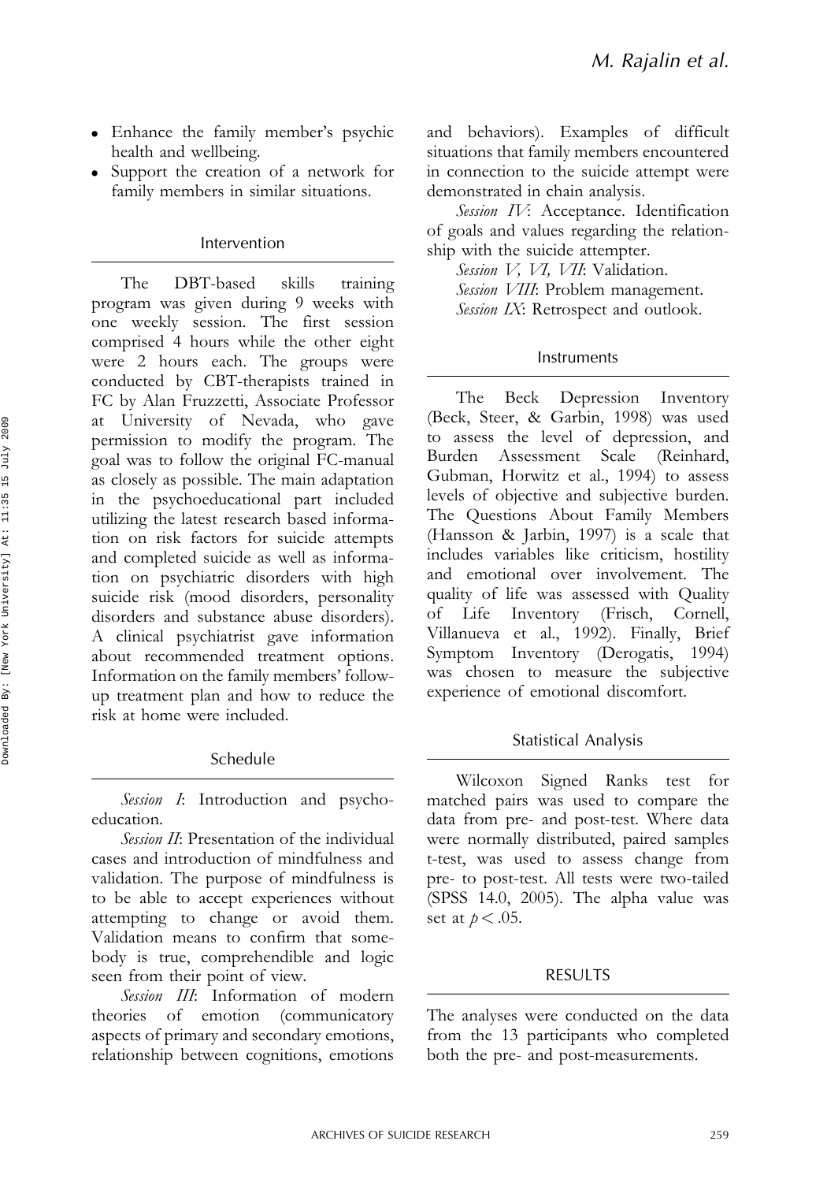- . Enhance the family member's psychic health and wellbeing.
- . Support the creation of a network for family members in similar situations.

## Intervention

The DBT-based skills training program was given during 9 weeks with one weekly session. The first session comprised 4 hours while the other eight were 2 hours each. The groups were conducted by CBT-therapists trained in FC by Alan Fruzzetti, Associate Professor University of Nevada, who gave permission to modify the program. The goal was to follow the original FC-manual as closely as possible. The main adaptation in the psychoeducational part included utilizing the latest research based information on risk factors for suicide attempts and completed suicide as well as information on psychiatric disorders with high suicide risk (mood disorders, personality disorders and substance abuse disorders). A clinical psychiatrist gave information about recommended treatment options. Information on the family members' followup treatment plan and how to reduce the risk at home were included.

# Schedule

Session I: Introduction and psychoeducation.

Session II: Presentation of the individual cases and introduction of mindfulness and validation. The purpose of mindfulness is to be able to accept experiences without attempting to change or avoid them. Validation means to confirm that somebody is true, comprehendible and logic seen from their point of view.

Session III: Information of modern theories of emotion (communicatory aspects of primary and secondary emotions, relationship between cognitions, emotions and behaviors). Examples of difficult situations that family members encountered in connection to the suicide attempt were demonstrated in chain analysis.

Session IV: Acceptance. Identification of goals and values regarding the relationship with the suicide attempter.

Session V, VI, VII: Validation.

Session VIII: Problem management.

Session IX: Retrospect and outlook.

## Instruments

The Beck Depression Inventory (Beck, Steer, & Garbin, 1998) was used to assess the level of depression, and Burden Assessment Scale (Reinhard, Gubman, Horwitz et al., 1994) to assess levels of objective and subjective burden. The Questions About Family Members (Hansson & Jarbin, 1997) is a scale that includes variables like criticism, hostility and emotional over involvement. The quality of life was assessed with Quality of Life Inventory (Frisch, Cornell, Villanueva et al., 1992). Finally, Brief Symptom Inventory (Derogatis, 1994) was chosen to measure the subjective experience of emotional discomfort.

# Statistical Analysis

Wilcoxon Signed Ranks test for matched pairs was used to compare the data from pre- and post-test. Where data were normally distributed, paired samples t-test, was used to assess change from pre- to post-test. All tests were two-tailed (SPSS 14.0, 2005). The alpha value was set at  $p < .05$ .

# RESULTS

The analyses were conducted on the data from the 13 participants who completed both the pre- and post-measurements.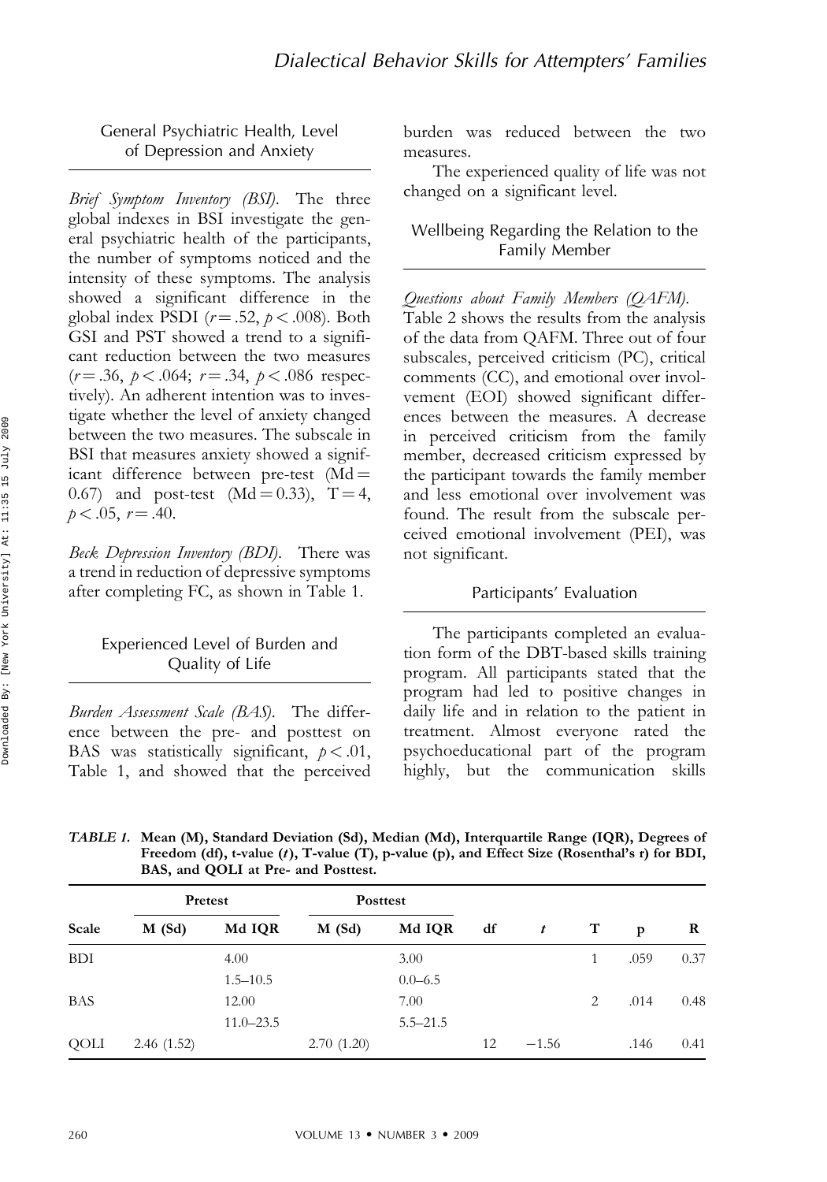General Psychiatric Health, Level of Depression and Anxiety

Brief Symptom Inventory (BSI). The three global indexes in BSI investigate the general psychiatric health of the participants, the number of symptoms noticed and the intensity of these symptoms. The analysis showed a significant difference in the global index PSDI ( $r = .52$ ,  $p < .008$ ). Both GSI and PST showed a trend to a significant reduction between the two measures  $(r = .36, p < .064; r = .34, p < .086$  respectively). An adherent intention was to investigate whether the level of anxiety changed between the two measures. The subscale in BSI that measures anxiety showed a significant difference between pre-test  $(Md =$ 0.67) and post-test (Md = 0.33),  $T = 4$ ,  $p < .05$ ,  $r = .40$ .

Beck Depression Inventory (BDI). There was a trend in reduction of depressive symptoms after completing FC, as shown in Table 1.

## Experienced Level of Burden and Quality of Life

Burden Assessment Scale (BAS). The difference between the pre- and posttest on BAS was statistically significant,  $p < .01$ , Table 1, and showed that the perceived burden was reduced between the two measures.

The experienced quality of life was not changed on a significant level.

#### Wellbeing Regarding the Relation to the Family Member

Questions about Family Members (QAFM). Table 2 shows the results from the analysis of the data from QAFM. Three out of four subscales, perceived criticism (PC), critical comments (CC), and emotional over involvement (EOI) showed significant differences between the measures. A decrease in perceived criticism from the family member, decreased criticism expressed by the participant towards the family member and less emotional over involvement was found. The result from the subscale perceived emotional involvement (PEI), was not significant.

#### Participants' Evaluation

The participants completed an evaluation form of the DBT-based skills training program. All participants stated that the program had led to positive changes in daily life and in relation to the patient in treatment. Almost everyone rated the psychoeducational part of the program highly, but the communication skills

TABLE 1. Mean (M), Standard Deviation (Sd), Median (Md), Interquartile Range (IQR), Degrees of Freedom (df), t-value (t), T-value (T), p-value (p), and Effect Size (Rosenthal's r) for BDI, BAS, and QOLI at Pre- and Posttest.

| Scale      | Pretest    |               | <b>Posttest</b> |              |    |                  |             |      |      |
|------------|------------|---------------|-----------------|--------------|----|------------------|-------------|------|------|
|            | $M$ (Sd)   | Md IQR        | $M$ (Sd)        | Md IQR       | df | $\boldsymbol{t}$ | $\mathbf T$ | p    | R    |
| <b>BDI</b> |            | 4.00          |                 | 3.00         |    |                  |             | .059 | 0.37 |
|            |            | $1.5 - 10.5$  |                 | $0.0 - 6.5$  |    |                  |             |      |      |
| <b>BAS</b> |            | 12.00         |                 | 7.00         |    |                  | 2           | .014 | 0.48 |
|            |            | $11.0 - 23.5$ |                 | $5.5 - 21.5$ |    |                  |             |      |      |
| QOLI       | 2.46(1.52) |               | 2.70(1.20)      |              | 12 | $-1.56$          |             | .146 | 0.41 |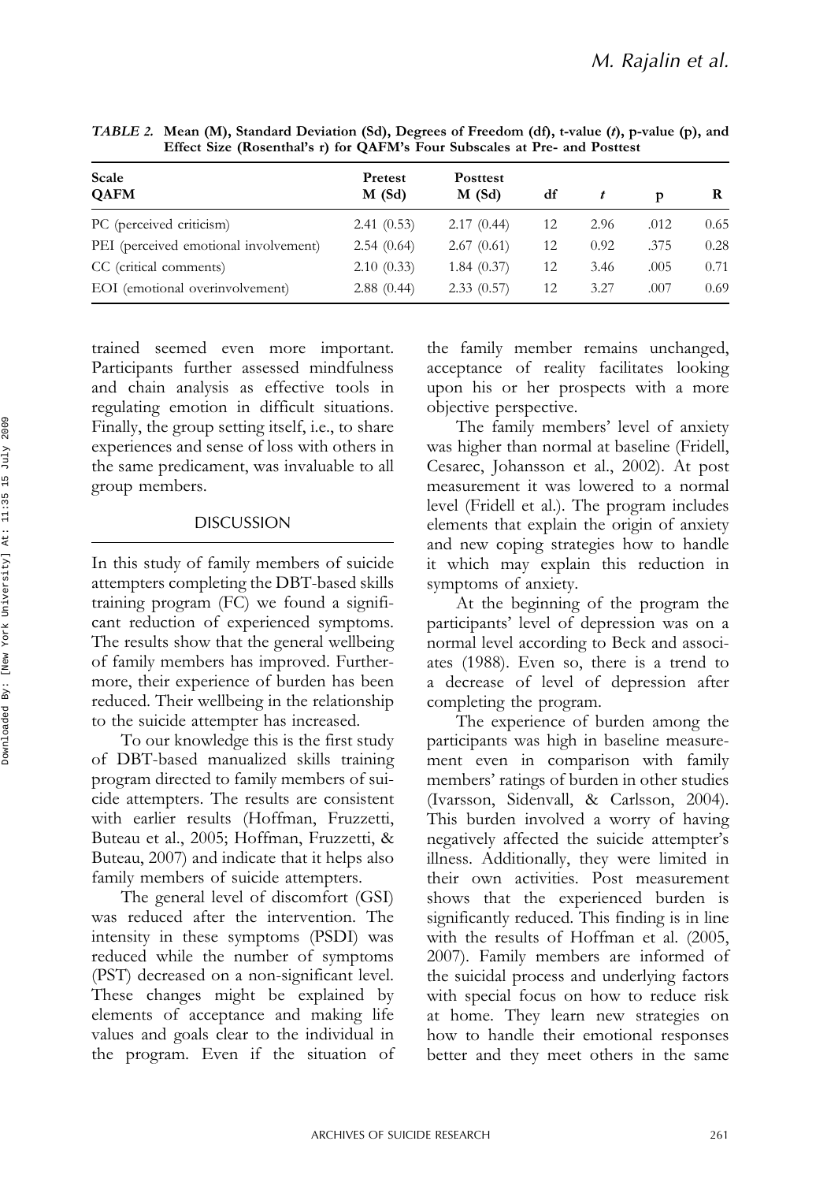| Scale<br><b>OAFM</b>                  | Pretest<br>$M$ (Sd) | <b>Posttest</b><br>$M$ (Sd) | df |      | Þ    | R    |
|---------------------------------------|---------------------|-----------------------------|----|------|------|------|
| PC (perceived criticism)              | 2.41(0.53)          | 2.17(0.44)                  | 12 | 2.96 | .012 | 0.65 |
| PEI (perceived emotional involvement) | 2.54(0.64)          | 2.67(0.61)                  | 12 | 0.92 | .375 | 0.28 |
| CC (critical comments)                | 2.10(0.33)          | 1.84(0.37)                  | 12 | 3.46 | .005 | 0.71 |
| EOI (emotional overinvolvement)       | 2.88(0.44)          | 2.33(0.57)                  | 12 | 3.27 | .007 | 0.69 |

TABLE 2. Mean (M), Standard Deviation (Sd), Degrees of Freedom (df), t-value (t), p-value (p), and Effect Size (Rosenthal's r) for QAFM's Four Subscales at Pre- and Posttest

trained seemed even more important. Participants further assessed mindfulness and chain analysis as effective tools in regulating emotion in difficult situations. Finally, the group setting itself, i.e., to share experiences and sense of loss with others in the same predicament, was invaluable to all group members.

#### DISCUSSION

In this study of family members of suicide attempters completing the DBT-based skills training program (FC) we found a significant reduction of experienced symptoms. The results show that the general wellbeing of family members has improved. Furthermore, their experience of burden has been reduced. Their wellbeing in the relationship to the suicide attempter has increased.

To our knowledge this is the first study of DBT-based manualized skills training program directed to family members of suicide attempters. The results are consistent with earlier results (Hoffman, Fruzzetti, Buteau et al., 2005; Hoffman, Fruzzetti, & Buteau, 2007) and indicate that it helps also family members of suicide attempters.

The general level of discomfort (GSI) was reduced after the intervention. The intensity in these symptoms (PSDI) was reduced while the number of symptoms (PST) decreased on a non-significant level. These changes might be explained by elements of acceptance and making life values and goals clear to the individual in the program. Even if the situation of the family member remains unchanged, acceptance of reality facilitates looking upon his or her prospects with a more objective perspective.

The family members' level of anxiety was higher than normal at baseline (Fridell, Cesarec, Johansson et al., 2002). At post measurement it was lowered to a normal level (Fridell et al.). The program includes elements that explain the origin of anxiety and new coping strategies how to handle it which may explain this reduction in symptoms of anxiety.

At the beginning of the program the participants' level of depression was on a normal level according to Beck and associates (1988). Even so, there is a trend to a decrease of level of depression after completing the program.

The experience of burden among the participants was high in baseline measurement even in comparison with family members' ratings of burden in other studies (Ivarsson, Sidenvall, & Carlsson, 2004). This burden involved a worry of having negatively affected the suicide attempter's illness. Additionally, they were limited in their own activities. Post measurement shows that the experienced burden is significantly reduced. This finding is in line with the results of Hoffman et al. (2005, 2007). Family members are informed of the suicidal process and underlying factors with special focus on how to reduce risk at home. They learn new strategies on how to handle their emotional responses better and they meet others in the same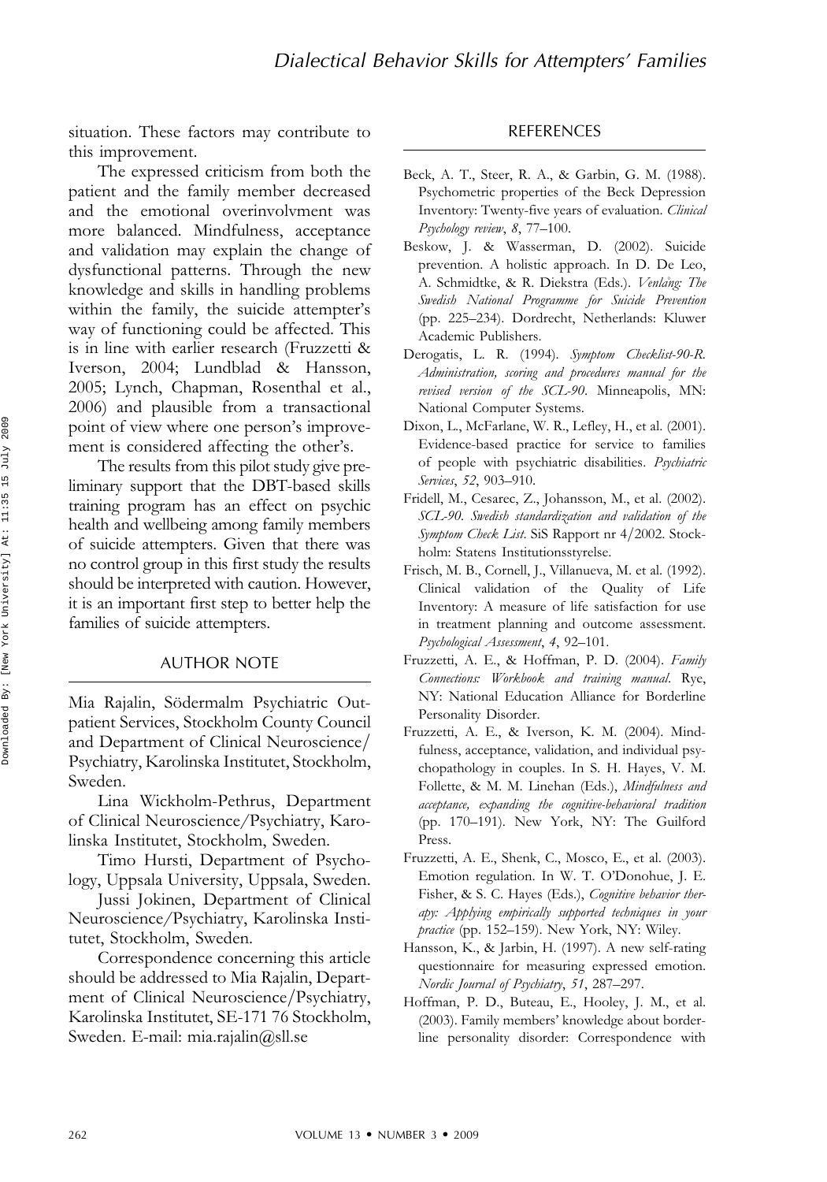situation. These factors may contribute to this improvement.

The expressed criticism from both the patient and the family member decreased and the emotional overinvolvment was more balanced. Mindfulness, acceptance and validation may explain the change of dysfunctional patterns. Through the new knowledge and skills in handling problems within the family, the suicide attempter's way of functioning could be affected. This is in line with earlier research (Fruzzetti & Iverson, 2004; Lundblad & Hansson, 2005; Lynch, Chapman, Rosenthal et al., 2006) and plausible from a transactional point of view where one person's improvement is considered affecting the other's.

The results from this pilot study give preliminary support that the DBT-based skills training program has an effect on psychic health and wellbeing among family members of suicide attempters. Given that there was no control group in this first study the results should be interpreted with caution. However, it is an important first step to better help the families of suicide attempters.

#### AUTHOR NOTE

Mia Rajalin, Södermalm Psychiatric Outpatient Services, Stockholm County Council and Department of Clinical Neuroscience/ Psychiatry, Karolinska Institutet, Stockholm, Sweden.

Lina Wickholm-Pethrus, Department of Clinical Neuroscience/Psychiatry, Karolinska Institutet, Stockholm, Sweden.

Timo Hursti, Department of Psychology, Uppsala University, Uppsala, Sweden.

Jussi Jokinen, Department of Clinical Neuroscience/Psychiatry, Karolinska Institutet, Stockholm, Sweden.

Correspondence concerning this article should be addressed to Mia Rajalin, Department of Clinical Neuroscience/Psychiatry, Karolinska Institutet, SE-171 76 Stockholm, Sweden. E-mail: mia.rajalin@sll.se

#### REFERENCES

- Beck, A. T., Steer, R. A., & Garbin, G. M. (1988). Psychometric properties of the Beck Depression Inventory: Twenty-five years of evaluation. Clinical Psychology review, 8, 77–100.
- Beskow, J. & Wasserman, D. (2002). Suicide prevention. A holistic approach. In D. De Leo, A. Schmidtke, & R. Diekstra (Eds.). Venlang: The Swedish National Programme for Suicide Prevention (pp. 225–234). Dordrecht, Netherlands: Kluwer Academic Publishers.
- Derogatis, L. R. (1994). Symptom Checklist-90-R. Administration, scoring and procedures manual for the revised version of the SCL-90. Minneapolis, MN: National Computer Systems.
- Dixon, L., McFarlane, W. R., Lefley, H., et al. (2001). Evidence-based practice for service to families of people with psychiatric disabilities. Psychiatric Services, 52, 903–910.
- Fridell, M., Cesarec, Z., Johansson, M., et al. (2002). SCL-90. Swedish standardization and validation of the Symptom Check List. SiS Rapport nr 4/2002. Stockholm: Statens Institutionsstyrelse.
- Frisch, M. B., Cornell, J., Villanueva, M. et al. (1992). Clinical validation of the Quality of Life Inventory: A measure of life satisfaction for use in treatment planning and outcome assessment. Psychological Assessment, 4, 92–101.
- Fruzzetti, A. E., & Hoffman, P. D. (2004). Family Connections: Workbook and training manual. Rye, NY: National Education Alliance for Borderline Personality Disorder.
- Fruzzetti, A. E., & Iverson, K. M. (2004). Mindfulness, acceptance, validation, and individual psychopathology in couples. In S. H. Hayes, V. M. Follette, & M. M. Linehan (Eds.), Mindfulness and acceptance, expanding the cognitive-behavioral tradition (pp. 170–191). New York, NY: The Guilford Press.
- Fruzzetti, A. E., Shenk, C., Mosco, E., et al. (2003). Emotion regulation. In W. T. O'Donohue, J. E. Fisher, & S. C. Hayes (Eds.), Cognitive behavior therapy: Applying empirically supported techniques in your practice (pp. 152-159). New York, NY: Wiley.
- Hansson, K., & Jarbin, H. (1997). A new self-rating questionnaire for measuring expressed emotion. Nordic Journal of Psychiatry, 51, 287–297.
- Hoffman, P. D., Buteau, E., Hooley, J. M., et al. (2003). Family members' knowledge about borderline personality disorder: Correspondence with